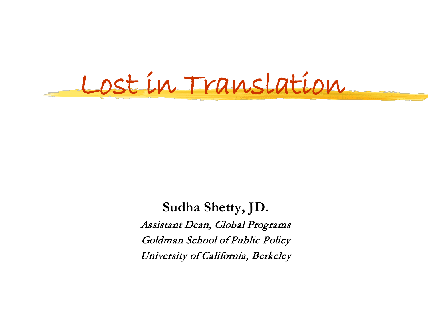Lost in Translation

**Sudha Shetty, JD.** Assistant Dean, Global Programs Goldman School of Public Policy University of California, Berkeley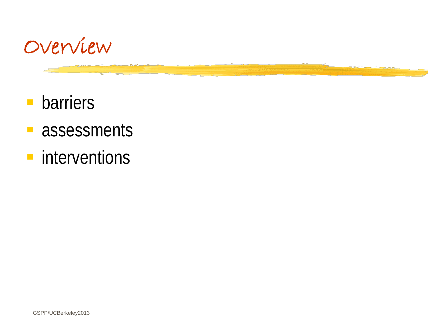

- **barriers**
- **assessments**
- **n** interventions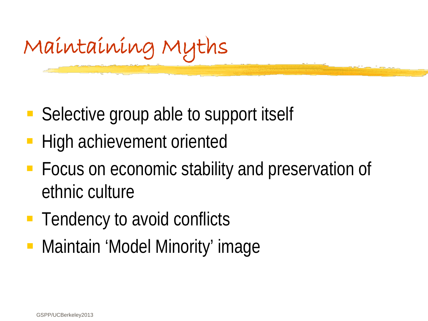Maintaining Myths

- Selective group able to support itself
- High achievement oriented
- **Focus on economic stability and preservation of** ethnic culture
- **Tendency to avoid conflicts**
- **Maintain 'Model Minority' image**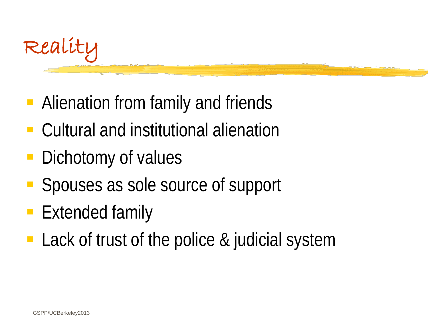

- **Alienation from family and friends**
- Cultural and institutional alienation
- Dichotomy of values
- Spouses as sole source of support
- **Extended family**
- Lack of trust of the police & judicial system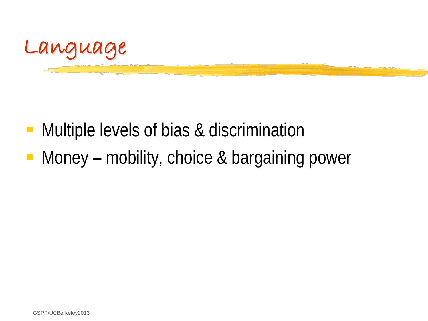

- **Multiple levels of bias & discrimination**
- Money mobility, choice & bargaining power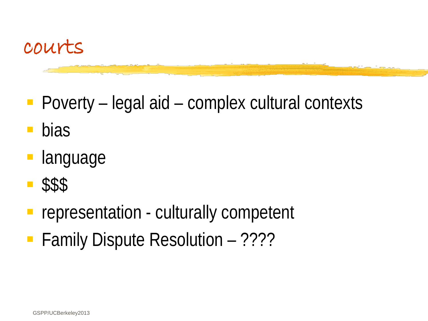

- Poverty legal aid complex cultural contexts
- bias
- language
- \$\$\$
- representation culturally competent
- **Family Dispute Resolution ????**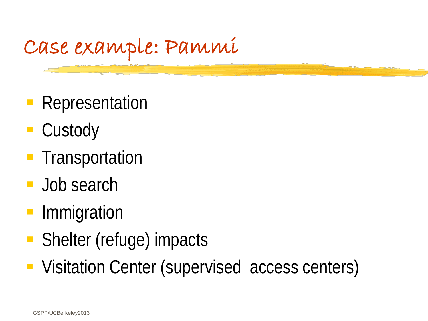#### Case example: Pammi

- **Representation**
- Custody
- **Transportation**
- **Job search**
- Immigration
- Shelter (refuge) impacts
- **Visitation Center (supervised access centers)**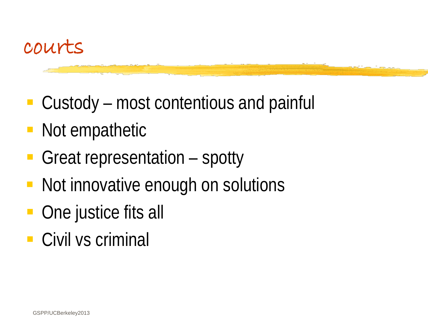

- Custody most contentious and painful
- Not empathetic
- Great representation spotty
- Not innovative enough on solutions
- One justice fits all
- Civil vs criminal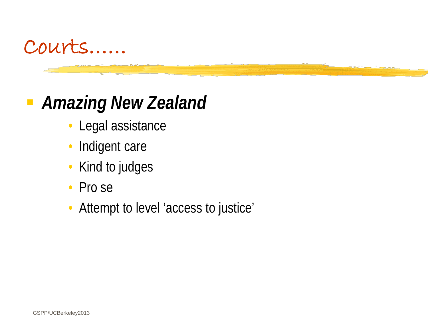

#### *Amazing New Zealand*

- Legal assistance
- Indigent care
- Kind to judges
- Pro se
- Attempt to level 'access to justice'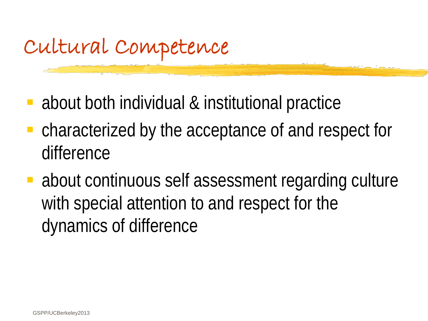## Cultural Competence

- about both individual & institutional practice
- characterized by the acceptance of and respect for difference
- about continuous self assessment regarding culture with special attention to and respect for the dynamics of difference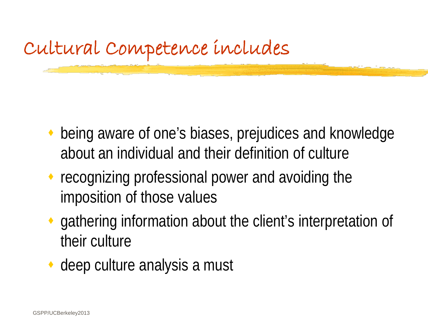

- being aware of one's biases, prejudices and knowledge about an individual and their definition of culture
- ◆ recognizing professional power and avoiding the imposition of those values
- gathering information about the client's interpretation of their culture
- deep culture analysis a must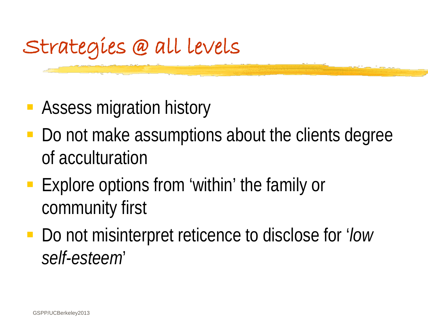## Strategies @ all levels

- **Assess migration history**
- Do not make assumptions about the clients degree of acculturation
- **Explore options from 'within' the family or** community first
- Do not misinterpret reticence to disclose for '*low self-esteem*'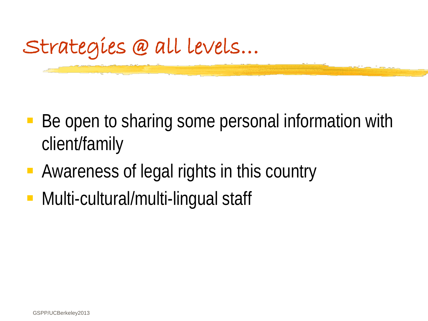

- Be open to sharing some personal information with client/family
- Awareness of legal rights in this country
- **Multi-cultural/multi-lingual staff**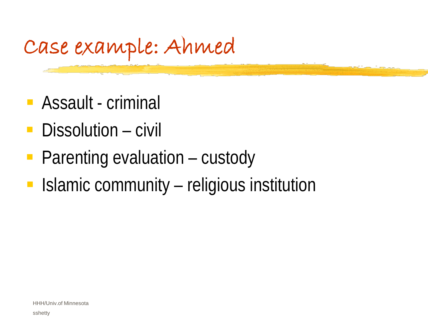## Case example: Ahmed

- **Assault criminal**
- Dissolution civil
- **Parenting evaluation custody**
- **In Islamic community religious institution**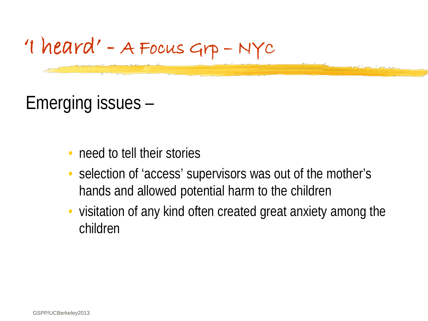

Emerging issues –

- need to tell their stories
- selection of 'access' supervisors was out of the mother's hands and allowed potential harm to the children
- visitation of any kind often created great anxiety among the children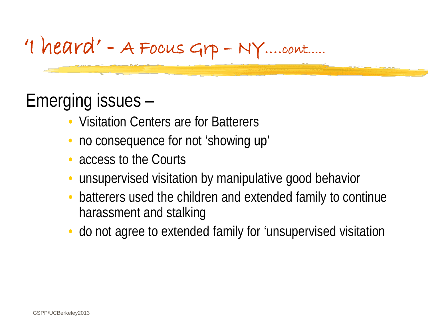#### 'I heard' - A Focus Grp – NY….cont.....

#### Emerging issues –

- Visitation Centers are for Batterers
- no consequence for not 'showing up'
- access to the Courts
- unsupervised visitation by manipulative good behavior
- batterers used the children and extended family to continue harassment and stalking
- do not agree to extended family for 'unsupervised visitation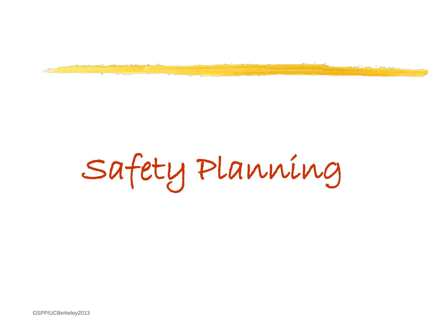

# Safety Planning

GSPP/UCBerkeley2013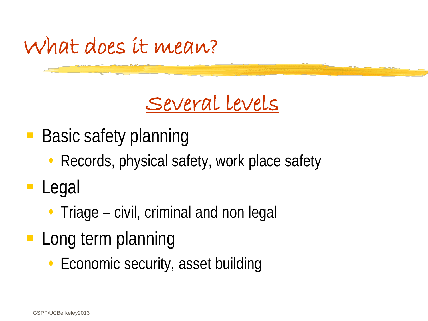

### Several levels

- Basic safety planning
	- ◆ Records, physical safety, work place safety
- **Legal** 
	- $\cdot$  Triage civil, criminal and non legal
- **Long term planning** 
	- ◆ Economic security, asset building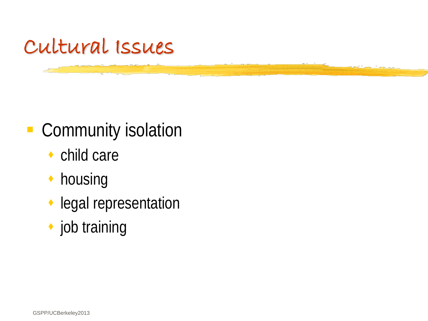

#### **- Community isolation**

- ◆ child care
- **housing**
- legal representation
- ◆ job training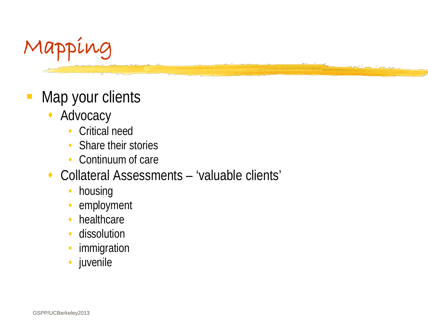

- Map your clients
	- Advocacy
		- Critical need
		- Share their stories
		- Continuum of care
	- Collateral Assessments 'valuable clients'
		- housing
		- employment
		- healthcare
		- dissolution
		- **immigration**
		- juvenile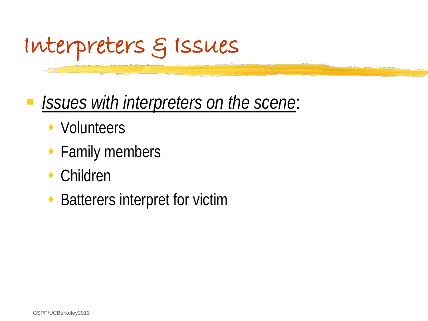

#### *Issues with interpreters on the scene*:

- ◆ Volunteers
- ◆ Family members
- Children
- ◆ Batterers interpret for victim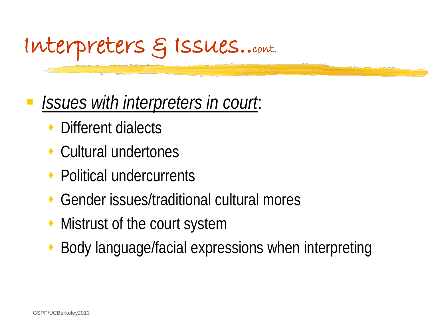

#### *Issues with interpreters in court*:

- Different dialects
- Cultural undertones
- ◆ Political undercurrents
- Gender issues/traditional cultural mores
- Mistrust of the court system
- Body language/facial expressions when interpreting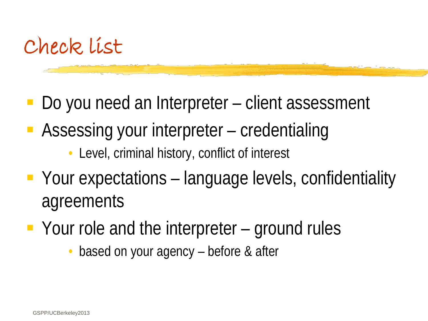

- Do you need an Interpreter client assessment
- Assessing your interpreter credentialing
	- Level, criminal history, conflict of interest
- Your expectations language levels, confidentiality agreements
- Your role and the interpreter ground rules
	- based on your agency before & after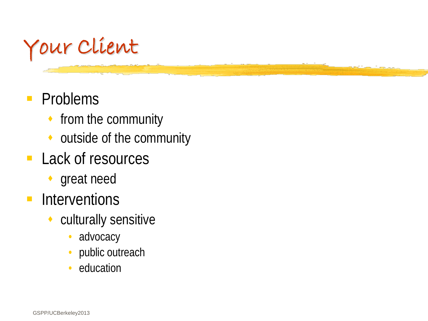

#### **Problems**

- from the community
- outside of the community
- **Lack of resources** 
	- ◆ great need
- **Interventions** 
	- culturally sensitive
		- advocacy
		- public outreach
		- education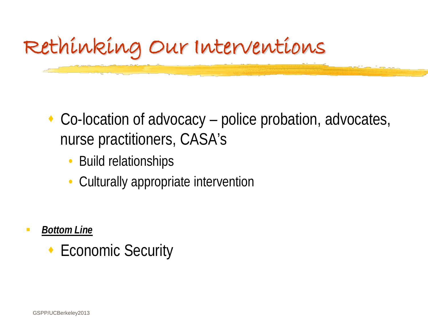

- ◆ Co-location of advocacy police probation, advocates, nurse practitioners, CASA's
	- Build relationships
	- Culturally appropriate intervention

- *Bottom Line*
	- ◆ Economic Security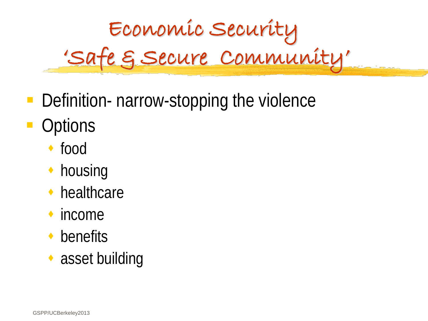

- Definition- narrow-stopping the violence
- **Options** 
	- food
	- housing
	- healthcare
	- income
	- ◆ benefits
	- ◆ asset building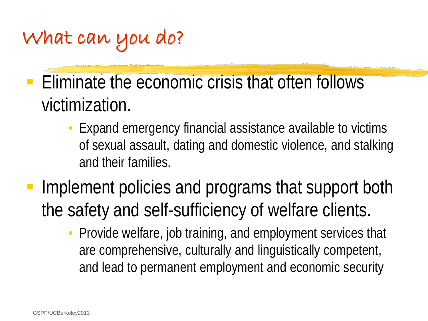## What can you do?

- Eliminate the economic crisis that often follows victimization.
	- Expand emergency financial assistance available to victims of sexual assault, dating and domestic violence, and stalking and their families.
- Implement policies and programs that support both the safety and self-sufficiency of welfare clients.
	- Provide welfare, job training, and employment services that are comprehensive, culturally and linguistically competent, and lead to permanent employment and economic security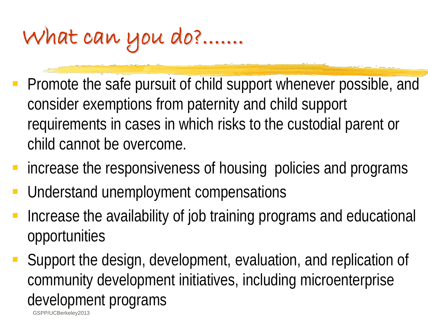# What can you do?.......

- Promote the safe pursuit of child support whenever possible, and consider exemptions from paternity and child support requirements in cases in which risks to the custodial parent or child cannot be overcome.
- **F** increase the responsiveness of housing policies and programs
- Understand unemployment compensations
- Increase the availability of job training programs and educational opportunities
- Support the design, development, evaluation, and replication of community development initiatives, including microenterprise development programs

GSPP/UCBerkeley2013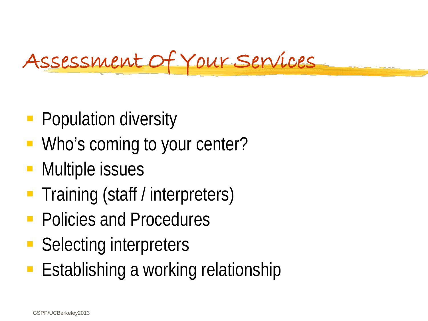## Assessment Of Your Services

- **Population diversity**
- **Who's coming to your center?**
- **Multiple issues**
- **Training (staff / interpreters)**
- **Policies and Procedures**
- Selecting interpreters
- **Establishing a working relationship**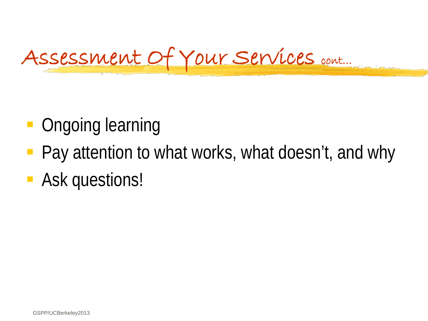## Assessment Of Your Services cont…

- **Ongoing learning**
- Pay attention to what works, what doesn't, and why
- **Ask questions!**